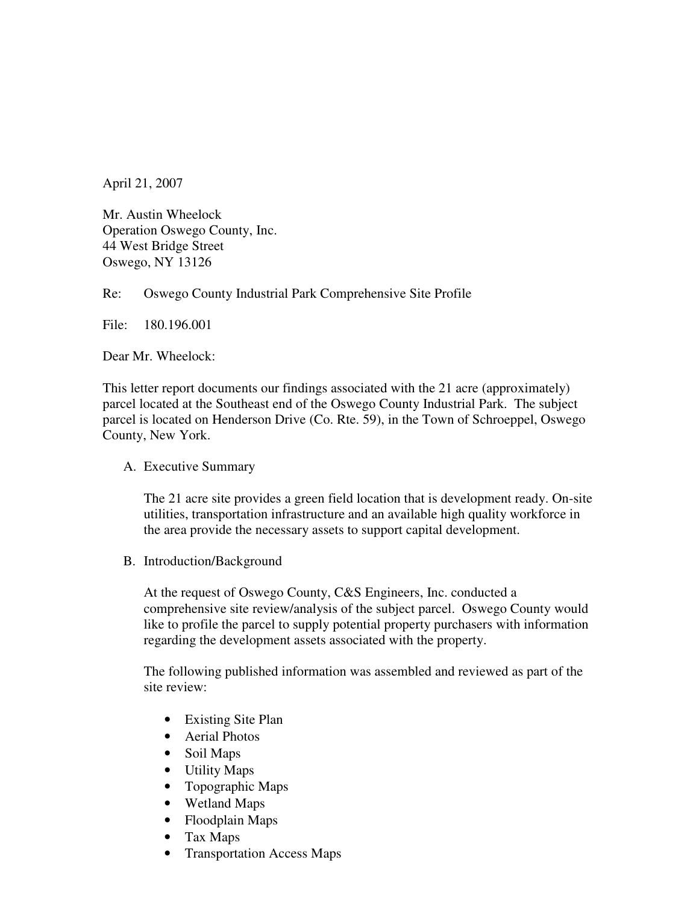April 21, 2007

Mr. Austin Wheelock Operation Oswego County, Inc. 44 West Bridge Street Oswego, NY 13126

Re: Oswego County Industrial Park Comprehensive Site Profile

File: 180.196.001

Dear Mr. Wheelock:

This letter report documents our findings associated with the 21 acre (approximately) parcel located at the Southeast end of the Oswego County Industrial Park. The subject parcel is located on Henderson Drive (Co. Rte. 59), in the Town of Schroeppel, Oswego County, New York.

# A. Executive Summary

The 21 acre site provides a green field location that is development ready. On-site utilities, transportation infrastructure and an available high quality workforce in the area provide the necessary assets to support capital development.

B. Introduction/Background

At the request of Oswego County, C&S Engineers, Inc. conducted a comprehensive site review/analysis of the subject parcel. Oswego County would like to profile the parcel to supply potential property purchasers with information regarding the development assets associated with the property.

The following published information was assembled and reviewed as part of the site review:

- Existing Site Plan
- Aerial Photos
- Soil Maps
- Utility Maps
- Topographic Maps
- Wetland Maps
- Floodplain Maps
- Tax Maps
- Transportation Access Maps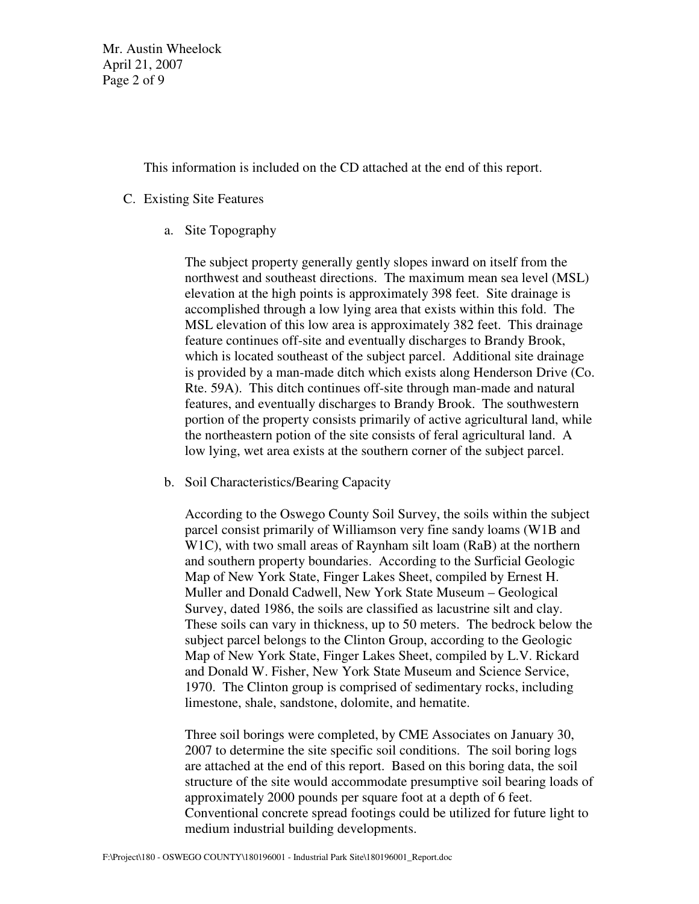Mr. Austin Wheelock April 21, 2007 Page 2 of 9

This information is included on the CD attached at the end of this report.

# C. Existing Site Features

a. Site Topography

The subject property generally gently slopes inward on itself from the northwest and southeast directions. The maximum mean sea level (MSL) elevation at the high points is approximately 398 feet. Site drainage is accomplished through a low lying area that exists within this fold. The MSL elevation of this low area is approximately 382 feet. This drainage feature continues off-site and eventually discharges to Brandy Brook, which is located southeast of the subject parcel. Additional site drainage is provided by a man-made ditch which exists along Henderson Drive (Co. Rte. 59A). This ditch continues off-site through man-made and natural features, and eventually discharges to Brandy Brook. The southwestern portion of the property consists primarily of active agricultural land, while the northeastern potion of the site consists of feral agricultural land. A low lying, wet area exists at the southern corner of the subject parcel.

b. Soil Characteristics/Bearing Capacity

According to the Oswego County Soil Survey, the soils within the subject parcel consist primarily of Williamson very fine sandy loams (W1B and W1C), with two small areas of Raynham silt loam (RaB) at the northern and southern property boundaries. According to the Surficial Geologic Map of New York State, Finger Lakes Sheet, compiled by Ernest H. Muller and Donald Cadwell, New York State Museum – Geological Survey, dated 1986, the soils are classified as lacustrine silt and clay. These soils can vary in thickness, up to 50 meters. The bedrock below the subject parcel belongs to the Clinton Group, according to the Geologic Map of New York State, Finger Lakes Sheet, compiled by L.V. Rickard and Donald W. Fisher, New York State Museum and Science Service, 1970. The Clinton group is comprised of sedimentary rocks, including limestone, shale, sandstone, dolomite, and hematite.

Three soil borings were completed, by CME Associates on January 30, 2007 to determine the site specific soil conditions. The soil boring logs are attached at the end of this report. Based on this boring data, the soil structure of the site would accommodate presumptive soil bearing loads of approximately 2000 pounds per square foot at a depth of 6 feet. Conventional concrete spread footings could be utilized for future light to medium industrial building developments.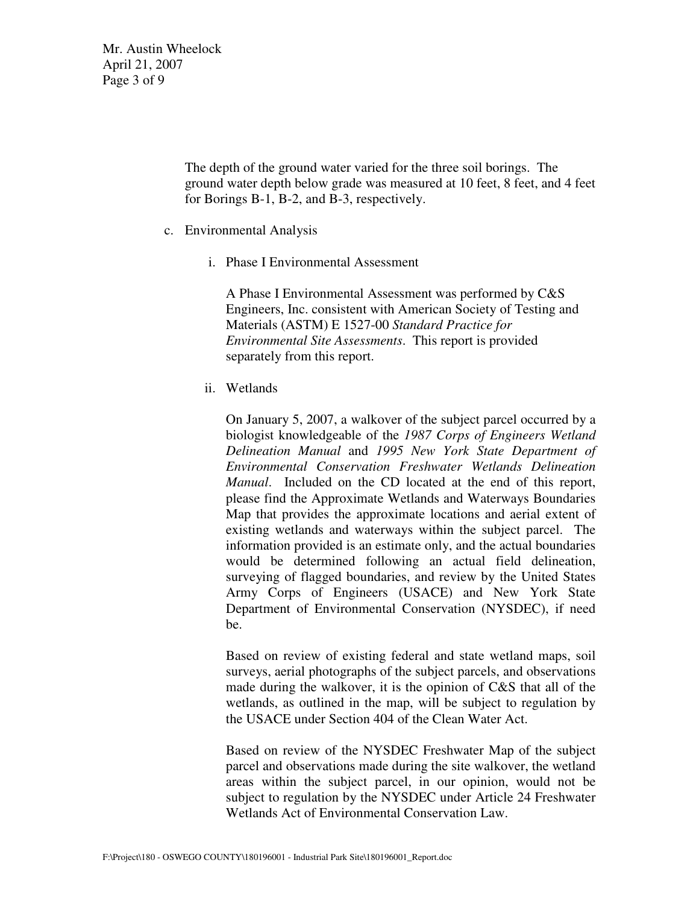Mr. Austin Wheelock April 21, 2007 Page 3 of 9

> The depth of the ground water varied for the three soil borings. The ground water depth below grade was measured at 10 feet, 8 feet, and 4 feet for Borings B-1, B-2, and B-3, respectively.

- c. Environmental Analysis
	- i. Phase I Environmental Assessment

A Phase I Environmental Assessment was performed by C&S Engineers, Inc. consistent with American Society of Testing and Materials (ASTM) E 1527-00 *Standard Practice for Environmental Site Assessments*. This report is provided separately from this report.

ii. Wetlands

On January 5, 2007, a walkover of the subject parcel occurred by a biologist knowledgeable of the *1987 Corps of Engineers Wetland Delineation Manual* and *1995 New York State Department of Environmental Conservation Freshwater Wetlands Delineation Manual*. Included on the CD located at the end of this report, please find the Approximate Wetlands and Waterways Boundaries Map that provides the approximate locations and aerial extent of existing wetlands and waterways within the subject parcel. The information provided is an estimate only, and the actual boundaries would be determined following an actual field delineation, surveying of flagged boundaries, and review by the United States Army Corps of Engineers (USACE) and New York State Department of Environmental Conservation (NYSDEC), if need be.

Based on review of existing federal and state wetland maps, soil surveys, aerial photographs of the subject parcels, and observations made during the walkover, it is the opinion of C&S that all of the wetlands, as outlined in the map, will be subject to regulation by the USACE under Section 404 of the Clean Water Act.

Based on review of the NYSDEC Freshwater Map of the subject parcel and observations made during the site walkover, the wetland areas within the subject parcel, in our opinion, would not be subject to regulation by the NYSDEC under Article 24 Freshwater Wetlands Act of Environmental Conservation Law.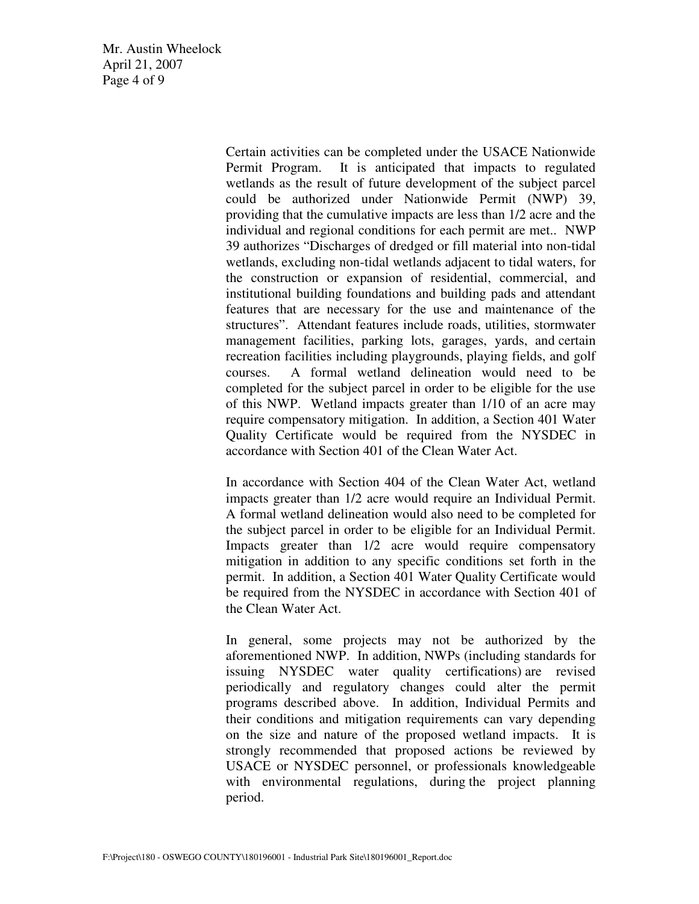Mr. Austin Wheelock April 21, 2007 Page 4 of 9

> Certain activities can be completed under the USACE Nationwide Permit Program. It is anticipated that impacts to regulated wetlands as the result of future development of the subject parcel could be authorized under Nationwide Permit (NWP) 39, providing that the cumulative impacts are less than 1/2 acre and the individual and regional conditions for each permit are met.. NWP 39 authorizes "Discharges of dredged or fill material into non-tidal wetlands, excluding non-tidal wetlands adjacent to tidal waters, for the construction or expansion of residential, commercial, and institutional building foundations and building pads and attendant features that are necessary for the use and maintenance of the structures". Attendant features include roads, utilities, stormwater management facilities, parking lots, garages, yards, and certain recreation facilities including playgrounds, playing fields, and golf courses. A formal wetland delineation would need to be completed for the subject parcel in order to be eligible for the use of this NWP. Wetland impacts greater than 1/10 of an acre may require compensatory mitigation. In addition, a Section 401 Water Quality Certificate would be required from the NYSDEC in accordance with Section 401 of the Clean Water Act.

> In accordance with Section 404 of the Clean Water Act, wetland impacts greater than 1/2 acre would require an Individual Permit. A formal wetland delineation would also need to be completed for the subject parcel in order to be eligible for an Individual Permit. Impacts greater than 1/2 acre would require compensatory mitigation in addition to any specific conditions set forth in the permit. In addition, a Section 401 Water Quality Certificate would be required from the NYSDEC in accordance with Section 401 of the Clean Water Act.

> In general, some projects may not be authorized by the aforementioned NWP. In addition, NWPs (including standards for issuing NYSDEC water quality certifications) are revised periodically and regulatory changes could alter the permit programs described above. In addition, Individual Permits and their conditions and mitigation requirements can vary depending on the size and nature of the proposed wetland impacts. It is strongly recommended that proposed actions be reviewed by USACE or NYSDEC personnel, or professionals knowledgeable with environmental regulations, during the project planning period.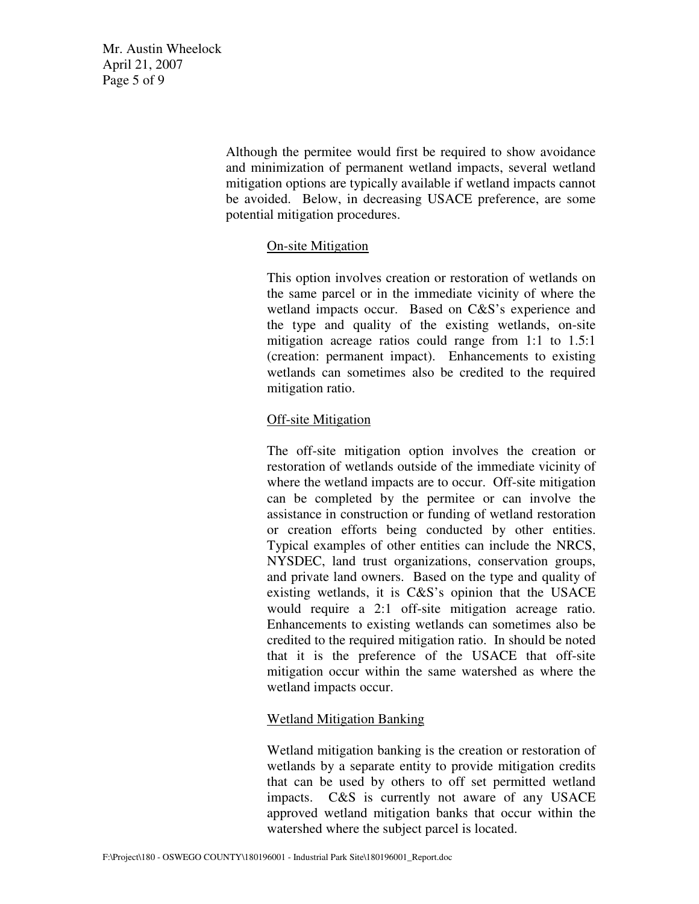Mr. Austin Wheelock April 21, 2007 Page 5 of 9

> Although the permitee would first be required to show avoidance and minimization of permanent wetland impacts, several wetland mitigation options are typically available if wetland impacts cannot be avoided. Below, in decreasing USACE preference, are some potential mitigation procedures.

# On-site Mitigation

This option involves creation or restoration of wetlands on the same parcel or in the immediate vicinity of where the wetland impacts occur. Based on C&S's experience and the type and quality of the existing wetlands, on-site mitigation acreage ratios could range from 1:1 to 1.5:1 (creation: permanent impact). Enhancements to existing wetlands can sometimes also be credited to the required mitigation ratio.

# Off-site Mitigation

The off-site mitigation option involves the creation or restoration of wetlands outside of the immediate vicinity of where the wetland impacts are to occur. Off-site mitigation can be completed by the permitee or can involve the assistance in construction or funding of wetland restoration or creation efforts being conducted by other entities. Typical examples of other entities can include the NRCS, NYSDEC, land trust organizations, conservation groups, and private land owners. Based on the type and quality of existing wetlands, it is C&S's opinion that the USACE would require a 2:1 off-site mitigation acreage ratio. Enhancements to existing wetlands can sometimes also be credited to the required mitigation ratio. In should be noted that it is the preference of the USACE that off-site mitigation occur within the same watershed as where the wetland impacts occur.

# Wetland Mitigation Banking

Wetland mitigation banking is the creation or restoration of wetlands by a separate entity to provide mitigation credits that can be used by others to off set permitted wetland impacts. C&S is currently not aware of any USACE approved wetland mitigation banks that occur within the watershed where the subject parcel is located.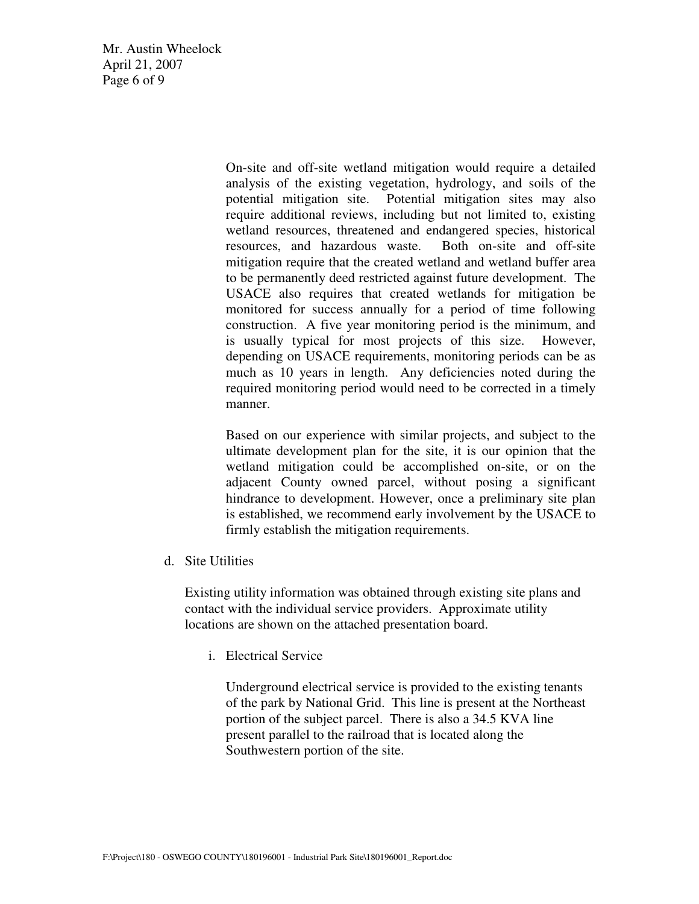Mr. Austin Wheelock April 21, 2007 Page 6 of 9

> On-site and off-site wetland mitigation would require a detailed analysis of the existing vegetation, hydrology, and soils of the potential mitigation site. Potential mitigation sites may also require additional reviews, including but not limited to, existing wetland resources, threatened and endangered species, historical resources, and hazardous waste. Both on-site and off-site mitigation require that the created wetland and wetland buffer area to be permanently deed restricted against future development. The USACE also requires that created wetlands for mitigation be monitored for success annually for a period of time following construction. A five year monitoring period is the minimum, and is usually typical for most projects of this size. However, depending on USACE requirements, monitoring periods can be as much as 10 years in length. Any deficiencies noted during the required monitoring period would need to be corrected in a timely manner.

> Based on our experience with similar projects, and subject to the ultimate development plan for the site, it is our opinion that the wetland mitigation could be accomplished on-site, or on the adjacent County owned parcel, without posing a significant hindrance to development. However, once a preliminary site plan is established, we recommend early involvement by the USACE to firmly establish the mitigation requirements.

d. Site Utilities

Existing utility information was obtained through existing site plans and contact with the individual service providers. Approximate utility locations are shown on the attached presentation board.

i. Electrical Service

Underground electrical service is provided to the existing tenants of the park by National Grid. This line is present at the Northeast portion of the subject parcel. There is also a 34.5 KVA line present parallel to the railroad that is located along the Southwestern portion of the site.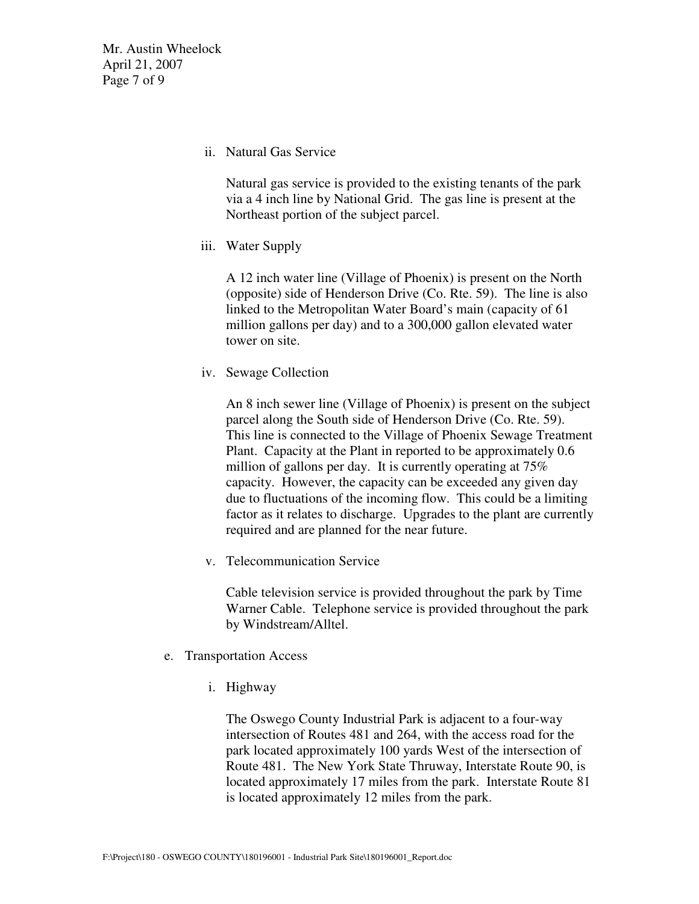Mr. Austin Wheelock April 21, 2007 Page 7 of 9

ii. Natural Gas Service

Natural gas service is provided to the existing tenants of the park via a 4 inch line by National Grid. The gas line is present at the Northeast portion of the subject parcel.

iii. Water Supply

A 12 inch water line (Village of Phoenix) is present on the North (opposite) side of Henderson Drive (Co. Rte. 59). The line is also linked to the Metropolitan Water Board's main (capacity of 61 million gallons per day) and to a 300,000 gallon elevated water tower on site.

iv. Sewage Collection

An 8 inch sewer line (Village of Phoenix) is present on the subject parcel along the South side of Henderson Drive (Co. Rte. 59). This line is connected to the Village of Phoenix Sewage Treatment Plant. Capacity at the Plant in reported to be approximately 0.6 million of gallons per day. It is currently operating at 75% capacity. However, the capacity can be exceeded any given day due to fluctuations of the incoming flow. This could be a limiting factor as it relates to discharge. Upgrades to the plant are currently required and are planned for the near future.

v. Telecommunication Service

Cable television service is provided throughout the park by Time Warner Cable. Telephone service is provided throughout the park by Windstream/Alltel.

- e. Transportation Access
	- i. Highway

The Oswego County Industrial Park is adjacent to a four-way intersection of Routes 481 and 264, with the access road for the park located approximately 100 yards West of the intersection of Route 481. The New York State Thruway, Interstate Route 90, is located approximately 17 miles from the park. Interstate Route 81 is located approximately 12 miles from the park.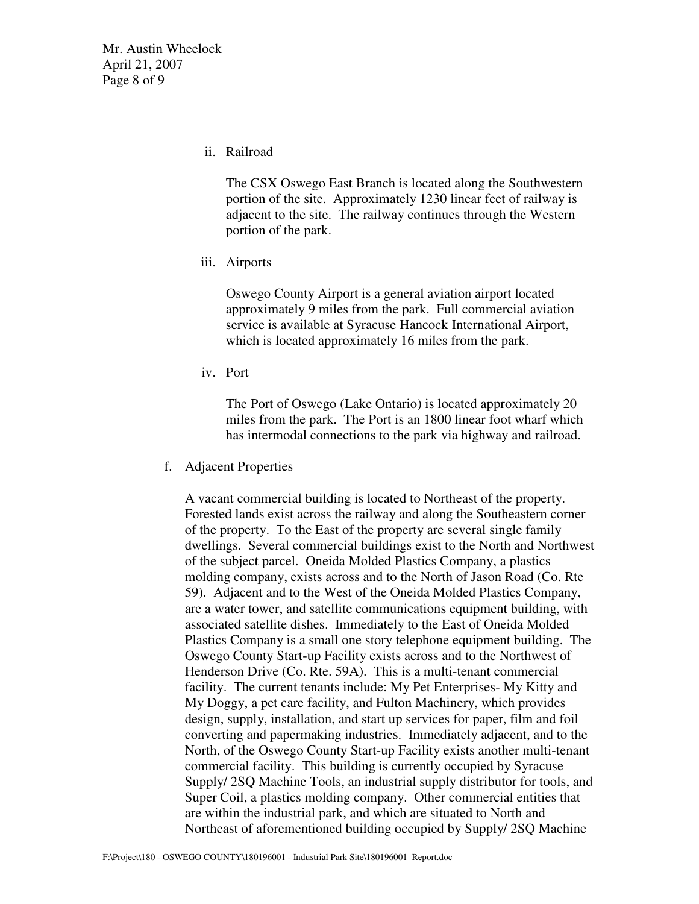Mr. Austin Wheelock April 21, 2007 Page 8 of 9

ii. Railroad

The CSX Oswego East Branch is located along the Southwestern portion of the site. Approximately 1230 linear feet of railway is adjacent to the site. The railway continues through the Western portion of the park.

iii. Airports

Oswego County Airport is a general aviation airport located approximately 9 miles from the park. Full commercial aviation service is available at Syracuse Hancock International Airport, which is located approximately 16 miles from the park.

iv. Port

The Port of Oswego (Lake Ontario) is located approximately 20 miles from the park. The Port is an 1800 linear foot wharf which has intermodal connections to the park via highway and railroad.

f. Adjacent Properties

A vacant commercial building is located to Northeast of the property. Forested lands exist across the railway and along the Southeastern corner of the property. To the East of the property are several single family dwellings. Several commercial buildings exist to the North and Northwest of the subject parcel. Oneida Molded Plastics Company, a plastics molding company, exists across and to the North of Jason Road (Co. Rte 59). Adjacent and to the West of the Oneida Molded Plastics Company, are a water tower, and satellite communications equipment building, with associated satellite dishes. Immediately to the East of Oneida Molded Plastics Company is a small one story telephone equipment building. The Oswego County Start-up Facility exists across and to the Northwest of Henderson Drive (Co. Rte. 59A). This is a multi-tenant commercial facility. The current tenants include: My Pet Enterprises- My Kitty and My Doggy, a pet care facility, and Fulton Machinery, which provides design, supply, installation, and start up services for paper, film and foil converting and papermaking industries. Immediately adjacent, and to the North, of the Oswego County Start-up Facility exists another multi-tenant commercial facility. This building is currently occupied by Syracuse Supply/ 2SQ Machine Tools, an industrial supply distributor for tools, and Super Coil, a plastics molding company. Other commercial entities that are within the industrial park, and which are situated to North and Northeast of aforementioned building occupied by Supply/ 2SQ Machine